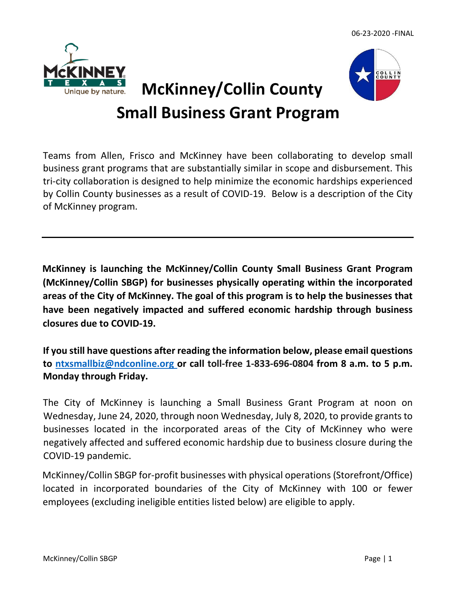

# **Small Business Grant Program**

Teams from Allen, Frisco and McKinney have been collaborating to develop small business grant programs that are substantially similar in scope and disbursement. This tri-city collaboration is designed to help minimize the economic hardships experienced by Collin County businesses as a result of COVID-19. Below is a description of the City of McKinney program.

**McKinney is launching the McKinney/Collin County Small Business Grant Program (McKinney/Collin SBGP) for businesses physically operating within the incorporated areas of the City of McKinney. The goal of this program is to help the businesses that have been negatively impacted and suffered economic hardship through business closures due to COVID-19.**

**If you still have questions after reading the information below, please email questions to [ntxsmallbiz@ndconline.org](mailto:ntxsmallbiz@ndconline.org) or call toll-free 1-833-696-0804 from 8 a.m. to 5 p.m. Monday through Friday.** 

The City of McKinney is launching a Small Business Grant Program at noon on Wednesday, June 24, 2020, through noon Wednesday, July 8, 2020, to provide grants to businesses located in the incorporated areas of the City of McKinney who were negatively affected and suffered economic hardship due to business closure during the COVID-19 pandemic.

McKinney/Collin SBGP for-profit businesses with physical operations (Storefront/Office) located in incorporated boundaries of the City of McKinney with 100 or fewer employees (excluding ineligible entities listed below) are eligible to apply.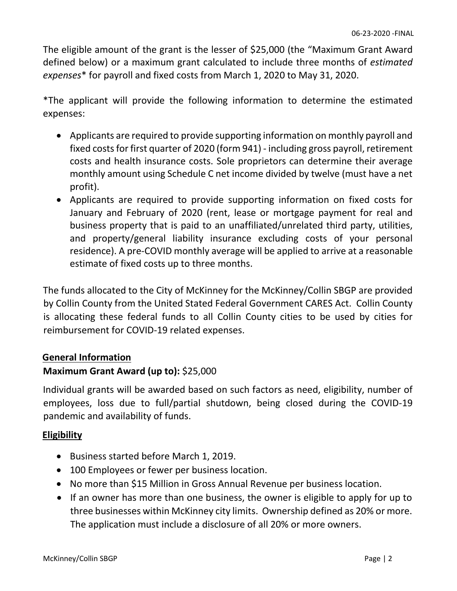The eligible amount of the grant is the lesser of \$25,000 (the "Maximum Grant Award defined below) or a maximum grant calculated to include three months of *estimated expenses*\* for payroll and fixed costs from March 1, 2020 to May 31, 2020.

\*The applicant will provide the following information to determine the estimated expenses:

- Applicants are required to provide supporting information on monthly payroll and fixed costs for first quarter of 2020 (form 941) - including gross payroll, retirement costs and health insurance costs. Sole proprietors can determine their average monthly amount using Schedule C net income divided by twelve (must have a net profit).
- Applicants are required to provide supporting information on fixed costs for January and February of 2020 (rent, lease or mortgage payment for real and business property that is paid to an unaffiliated/unrelated third party, utilities, and property/general liability insurance excluding costs of your personal residence). A pre-COVID monthly average will be applied to arrive at a reasonable estimate of fixed costs up to three months.

The funds allocated to the City of McKinney for the McKinney/Collin SBGP are provided by Collin County from the United Stated Federal Government CARES Act. Collin County is allocating these federal funds to all Collin County cities to be used by cities for reimbursement for COVID-19 related expenses.

## **General Information**

# **Maximum Grant Award (up to):** \$25,000

Individual grants will be awarded based on such factors as need, eligibility, number of employees, loss due to full/partial shutdown, being closed during the COVID-19 pandemic and availability of funds.

## **Eligibility**

- Business started before March 1, 2019.
- 100 Employees or fewer per business location.
- No more than \$15 Million in Gross Annual Revenue per business location.
- If an owner has more than one business, the owner is eligible to apply for up to three businesses within McKinney city limits. Ownership defined as 20% or more. The application must include a disclosure of all 20% or more owners.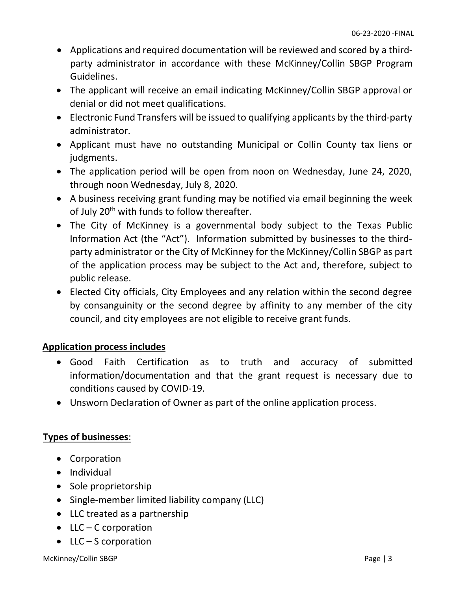- Applications and required documentation will be reviewed and scored by a thirdparty administrator in accordance with these McKinney/Collin SBGP Program Guidelines.
- The applicant will receive an email indicating McKinney/Collin SBGP approval or denial or did not meet qualifications.
- Electronic Fund Transfers will be issued to qualifying applicants by the third-party administrator.
- Applicant must have no outstanding Municipal or Collin County tax liens or judgments.
- The application period will be open from noon on Wednesday, June 24, 2020, through noon Wednesday, July 8, 2020.
- A business receiving grant funding may be notified via email beginning the week of July 20<sup>th</sup> with funds to follow thereafter.
- The City of McKinney is a governmental body subject to the Texas Public Information Act (the "Act"). Information submitted by businesses to the thirdparty administrator or the City of McKinney for the McKinney/Collin SBGP as part of the application process may be subject to the Act and, therefore, subject to public release.
- Elected City officials, City Employees and any relation within the second degree by consanguinity or the second degree by affinity to any member of the city council, and city employees are not eligible to receive grant funds.

## **Application process includes**

- Good Faith Certification as to truth and accuracy of submitted information/documentation and that the grant request is necessary due to conditions caused by COVID-19.
- Unsworn Declaration of Owner as part of the online application process.

## **Types of businesses**:

- Corporation
- Individual
- Sole proprietorship
- Single-member limited liability company (LLC)
- LLC treated as a partnership
- LLC C corporation
- LLC S corporation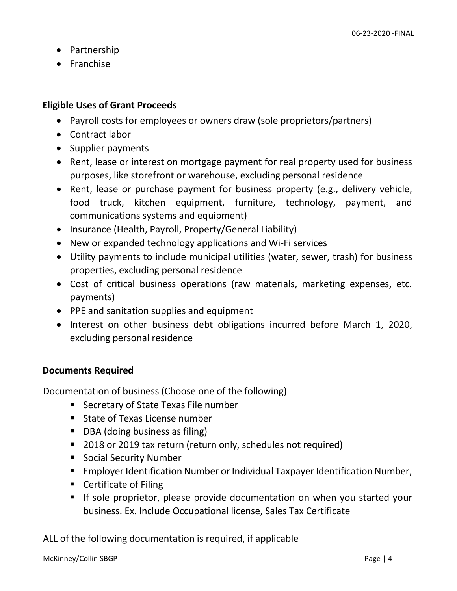- Partnership
- Franchise

#### **Eligible Uses of Grant Proceeds**

- Payroll costs for employees or owners draw (sole proprietors/partners)
- Contract labor
- Supplier payments
- Rent, lease or interest on mortgage payment for real property used for business purposes, like storefront or warehouse, excluding personal residence
- Rent, lease or purchase payment for business property (e.g., delivery vehicle, food truck, kitchen equipment, furniture, technology, payment, and communications systems and equipment)
- Insurance (Health, Payroll, Property/General Liability)
- New or expanded technology applications and Wi-Fi services
- Utility payments to include municipal utilities (water, sewer, trash) for business properties, excluding personal residence
- Cost of critical business operations (raw materials, marketing expenses, etc. payments)
- PPE and sanitation supplies and equipment
- Interest on other business debt obligations incurred before March 1, 2020, excluding personal residence

## **Documents Required**

Documentation of business (Choose one of the following)

- Secretary of State Texas File number
- **State of Texas License number**
- DBA (doing business as filing)
- 2018 or 2019 tax return (return only, schedules not required)
- **Social Security Number**
- Employer Identification Number or Individual Taxpayer Identification Number,
- Certificate of Filing
- If sole proprietor, please provide documentation on when you started your business. Ex. Include Occupational license, Sales Tax Certificate

ALL of the following documentation is required, if applicable